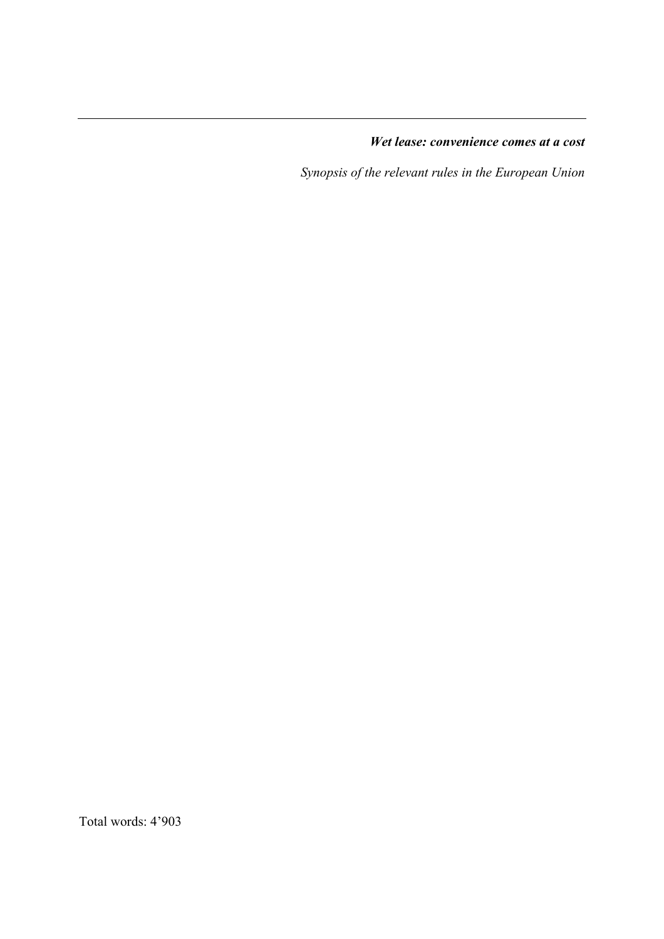*Wet lease: convenience comes at a cost*

*Synopsis of the relevant rules in the European Union*

Total words: 4'903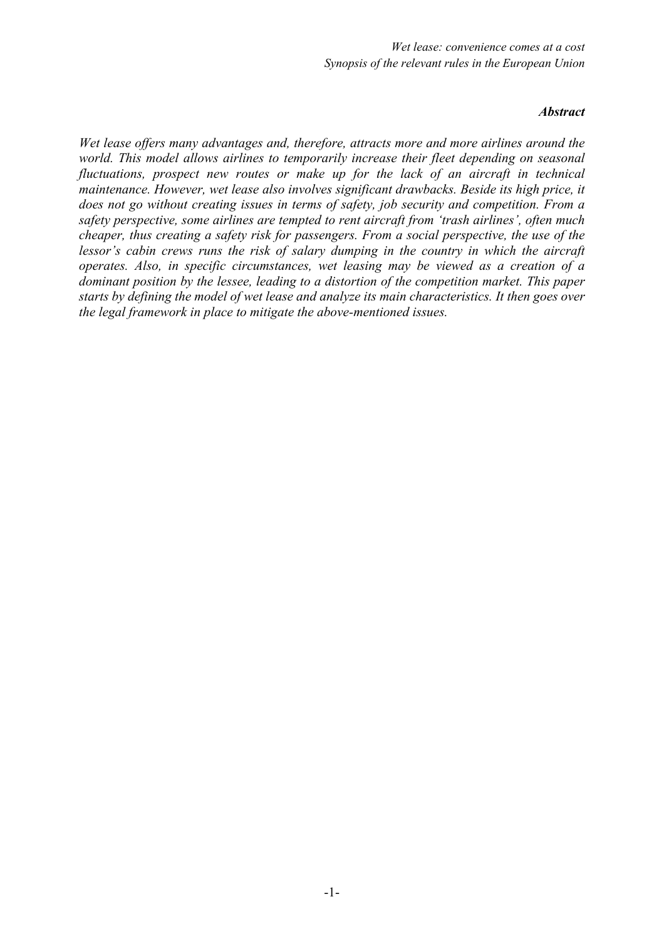#### *Abstract*

*Wet lease offers many advantages and, therefore, attracts more and more airlines around the world. This model allows airlines to temporarily increase their fleet depending on seasonal fluctuations, prospect new routes or make up for the lack of an aircraft in technical maintenance. However, wet lease also involves significant drawbacks. Beside its high price, it does not go without creating issues in terms of safety, job security and competition. From a safety perspective, some airlines are tempted to rent aircraft from 'trash airlines', often much cheaper, thus creating a safety risk for passengers. From a social perspective, the use of the lessor's cabin crews runs the risk of salary dumping in the country in which the aircraft operates. Also, in specific circumstances, wet leasing may be viewed as a creation of a dominant position by the lessee, leading to a distortion of the competition market. This paper starts by defining the model of wet lease and analyze its main characteristics. It then goes over the legal framework in place to mitigate the above-mentioned issues.*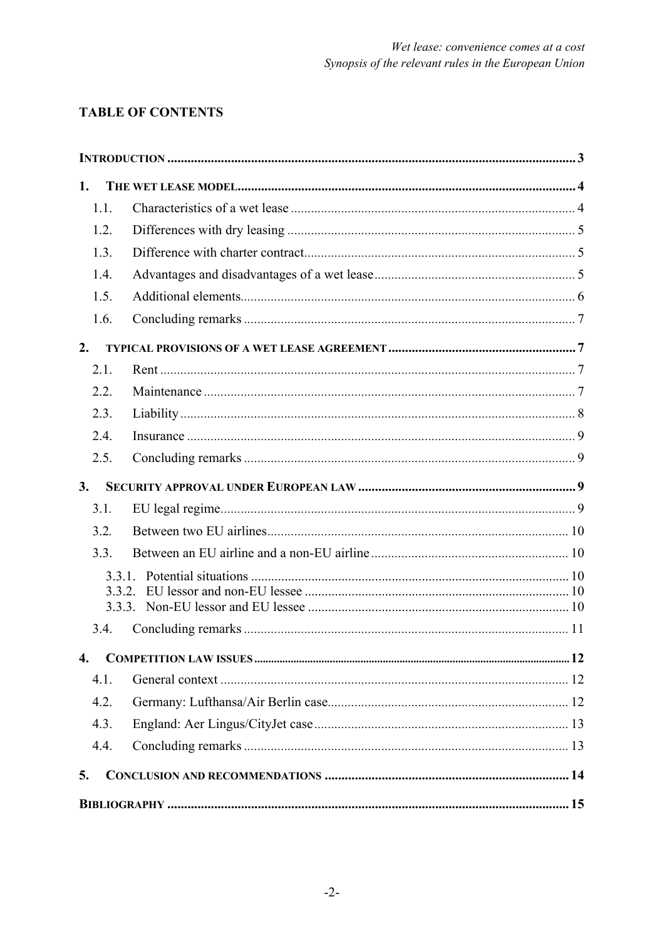# **TABLE OF CONTENTS**

| 1.               |  |  |  |
|------------------|--|--|--|
| 1.1.             |  |  |  |
| 1.2.             |  |  |  |
| 1.3.             |  |  |  |
| 1.4.             |  |  |  |
| 1.5.             |  |  |  |
| 1.6.             |  |  |  |
| 2.               |  |  |  |
| 2.1.             |  |  |  |
| 2.2.             |  |  |  |
| 2.3.             |  |  |  |
| 2.4.             |  |  |  |
| 2.5.             |  |  |  |
| 3.               |  |  |  |
| 3.1.             |  |  |  |
| 3.2.             |  |  |  |
| 3.3.             |  |  |  |
|                  |  |  |  |
|                  |  |  |  |
| 3.4.             |  |  |  |
|                  |  |  |  |
| $\overline{4}$ . |  |  |  |
| 4.1.             |  |  |  |
| 4.2.             |  |  |  |
| 4.3.             |  |  |  |
| 4.4.             |  |  |  |
| 5.               |  |  |  |
|                  |  |  |  |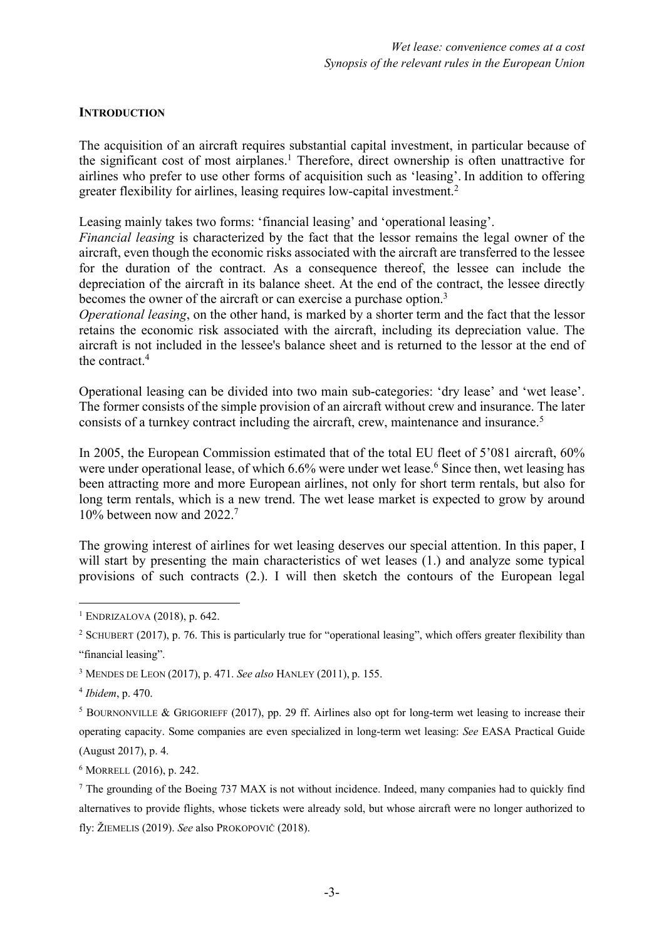#### **INTRODUCTION**

The acquisition of an aircraft requires substantial capital investment, in particular because of the significant cost of most airplanes. <sup>1</sup> Therefore, direct ownership is often unattractive for airlines who prefer to use other forms of acquisition such as 'leasing'. In addition to offering greater flexibility for airlines, leasing requires low-capital investment. 2

Leasing mainly takes two forms: 'financial leasing' and 'operational leasing'.

*Financial leasing* is characterized by the fact that the lessor remains the legal owner of the aircraft, even though the economic risks associated with the aircraft are transferred to the lessee for the duration of the contract. As a consequence thereof, the lessee can include the depreciation of the aircraft in its balance sheet. At the end of the contract, the lessee directly becomes the owner of the aircraft or can exercise a purchase option.<sup>3</sup>

*Operational leasing*, on the other hand, is marked by a shorter term and the fact that the lessor retains the economic risk associated with the aircraft, including its depreciation value. The aircraft is not included in the lessee's balance sheet and is returned to the lessor at the end of the contract. 4

Operational leasing can be divided into two main sub-categories: 'dry lease' and 'wet lease'. The former consists of the simple provision of an aircraft without crew and insurance. The later consists of a turnkey contract including the aircraft, crew, maintenance and insurance. 5

In 2005, the European Commission estimated that of the total EU fleet of 5'081 aircraft, 60% were under operational lease, of which 6.6% were under wet lease. <sup>6</sup> Since then, wet leasing has been attracting more and more European airlines, not only for short term rentals, but also for long term rentals, which is a new trend. The wet lease market is expected to grow by around 10% between now and 2022. 7

The growing interest of airlines for wet leasing deserves our special attention. In this paper, I will start by presenting the main characteristics of wet leases (1.) and analyze some typical provisions of such contracts (2.). I will then sketch the contours of the European legal

<sup>6</sup> MORRELL (2016), p. 242.

 $1$  ENDRIZALOVA (2018), p. 642.

<sup>&</sup>lt;sup>2</sup> SCHUBERT (2017), p. 76. This is particularly true for "operational leasing", which offers greater flexibility than "financial leasing".

<sup>3</sup> MENDES DE LEON (2017), p. 471. *See also* HANLEY (2011), p. 155.

<sup>4</sup> *Ibidem*, p. 470.

<sup>5</sup> BOURNONVILLE & GRIGORIEFF (2017), pp. 29 ff. Airlines also opt for long-term wet leasing to increase their operating capacity. Some companies are even specialized in long-term wet leasing: *See* EASA Practical Guide (August 2017), p. 4.

 $<sup>7</sup>$  The grounding of the Boeing 737 MAX is not without incidence. Indeed, many companies had to quickly find</sup> alternatives to provide flights, whose tickets were already sold, but whose aircraft were no longer authorized to fly: ŽIEMELIS (2019). *See* also PROKOPOVIČ (2018).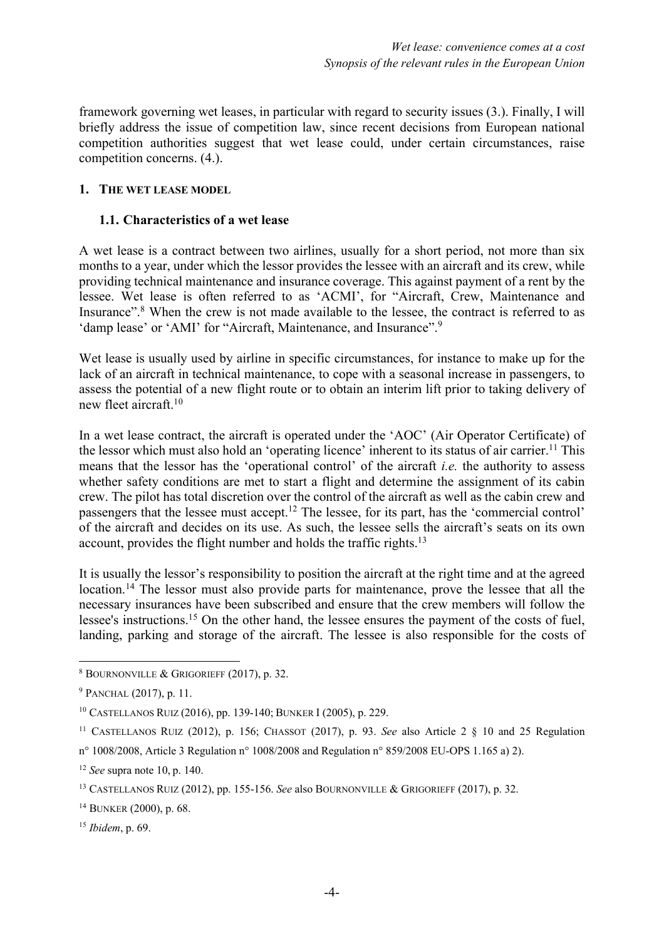framework governing wet leases, in particular with regard to security issues (3.). Finally, I will briefly address the issue of competition law, since recent decisions from European national competition authorities suggest that wet lease could, under certain circumstances, raise competition concerns. (4.).

#### **1. THE WET LEASE MODEL**

#### **1.1. Characteristics of a wet lease**

A wet lease is a contract between two airlines, usually for a short period, not more than six months to a year, under which the lessor provides the lessee with an aircraft and its crew, while providing technical maintenance and insurance coverage. This against payment of a rent by the lessee. Wet lease is often referred to as 'ACMI', for "Aircraft, Crew, Maintenance and Insurance".<sup>8</sup> When the crew is not made available to the lessee, the contract is referred to as 'damp lease' or 'AMI' for "Aircraft, Maintenance, and Insurance".<sup>9</sup>

Wet lease is usually used by airline in specific circumstances, for instance to make up for the lack of an aircraft in technical maintenance, to cope with a seasonal increase in passengers, to assess the potential of a new flight route or to obtain an interim lift prior to taking delivery of new fleet aircraft. 10

In a wet lease contract, the aircraft is operated under the 'AOC' (Air Operator Certificate) of the lessor which must also hold an 'operating licence' inherent to its status of air carrier.<sup>11</sup> This means that the lessor has the 'operational control' of the aircraft *i.e.* the authority to assess whether safety conditions are met to start a flight and determine the assignment of its cabin crew. The pilot has total discretion over the control of the aircraft as well as the cabin crew and passengers that the lessee must accept.12 The lessee, for its part, has the 'commercial control' of the aircraft and decides on its use. As such, the lessee sells the aircraft's seats on its own account, provides the flight number and holds the traffic rights.<sup>13</sup>

It is usually the lessor's responsibility to position the aircraft at the right time and at the agreed location.<sup>14</sup> The lessor must also provide parts for maintenance, prove the lessee that all the necessary insurances have been subscribed and ensure that the crew members will follow the lessee's instructions.<sup>15</sup> On the other hand, the lessee ensures the payment of the costs of fuel, landing, parking and storage of the aircraft. The lessee is also responsible for the costs of

<sup>8</sup> BOURNONVILLE & GRIGORIEFF (2017), p. 32.

<sup>9</sup> PANCHAL (2017), p. 11.

<sup>10</sup> CASTELLANOS RUIZ (2016), pp. 139-140; BUNKER I (2005), p. 229.

<sup>11</sup> CASTELLANOS RUIZ (2012), p. 156; CHASSOT (2017), p. 93. *See* also Article 2 § 10 and 25 Regulation

n° 1008/2008, Article 3 Regulation n° 1008/2008 and Regulation n° 859/2008 EU-OPS 1.165 a) 2).

<sup>12</sup> *See* supra note 10, p. 140.

<sup>13</sup> CASTELLANOS RUIZ (2012), pp. 155-156. *See* also BOURNONVILLE & GRIGORIEFF (2017), p. 32.

<sup>14</sup> BUNKER (2000), p. 68.

<sup>15</sup> *Ibidem*, p. 69.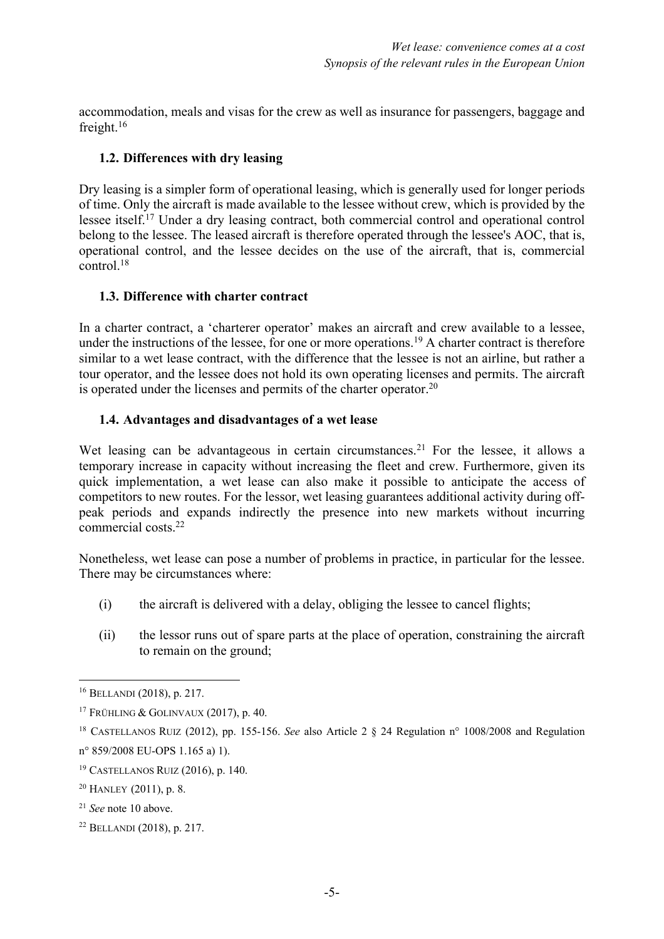accommodation, meals and visas for the crew as well as insurance for passengers, baggage and freight. 16

# **1.2. Differences with dry leasing**

Dry leasing is a simpler form of operational leasing, which is generally used for longer periods of time. Only the aircraft is made available to the lessee without crew, which is provided by the lessee itself.17 Under a dry leasing contract, both commercial control and operational control belong to the lessee. The leased aircraft is therefore operated through the lessee's AOC, that is, operational control, and the lessee decides on the use of the aircraft, that is, commercial  $control<sup>18</sup>$ 

# **1.3. Difference with charter contract**

In a charter contract, a 'charterer operator' makes an aircraft and crew available to a lessee, under the instructions of the lessee, for one or more operations.<sup>19</sup> A charter contract is therefore similar to a wet lease contract, with the difference that the lessee is not an airline, but rather a tour operator, and the lessee does not hold its own operating licenses and permits. The aircraft is operated under the licenses and permits of the charter operator.<sup>20</sup>

# **1.4. Advantages and disadvantages of a wet lease**

Wet leasing can be advantageous in certain circumstances.<sup>21</sup> For the lessee, it allows a temporary increase in capacity without increasing the fleet and crew. Furthermore, given its quick implementation, a wet lease can also make it possible to anticipate the access of competitors to new routes. For the lessor, wet leasing guarantees additional activity during offpeak periods and expands indirectly the presence into new markets without incurring commercial costs. 22

Nonetheless, wet lease can pose a number of problems in practice, in particular for the lessee. There may be circumstances where:

- (i) the aircraft is delivered with a delay, obliging the lessee to cancel flights;
- (ii) the lessor runs out of spare parts at the place of operation, constraining the aircraft to remain on the ground;

<sup>16</sup> BELLANDI (2018), p. 217.

<sup>&</sup>lt;sup>17</sup> FRÜHLING & GOLINVAUX (2017), p. 40.

<sup>18</sup> CASTELLANOS RUIZ (2012), pp. 155-156. *See* also Article 2 § 24 Regulation n° 1008/2008 and Regulation n° 859/2008 EU-OPS 1.165 a) 1).

<sup>19</sup> CASTELLANOS RUIZ (2016), p. 140.

 $20$  HANLEY (2011), p. 8.

<sup>21</sup> *See* note 10 above.

<sup>22</sup> BELLANDI (2018), p. 217.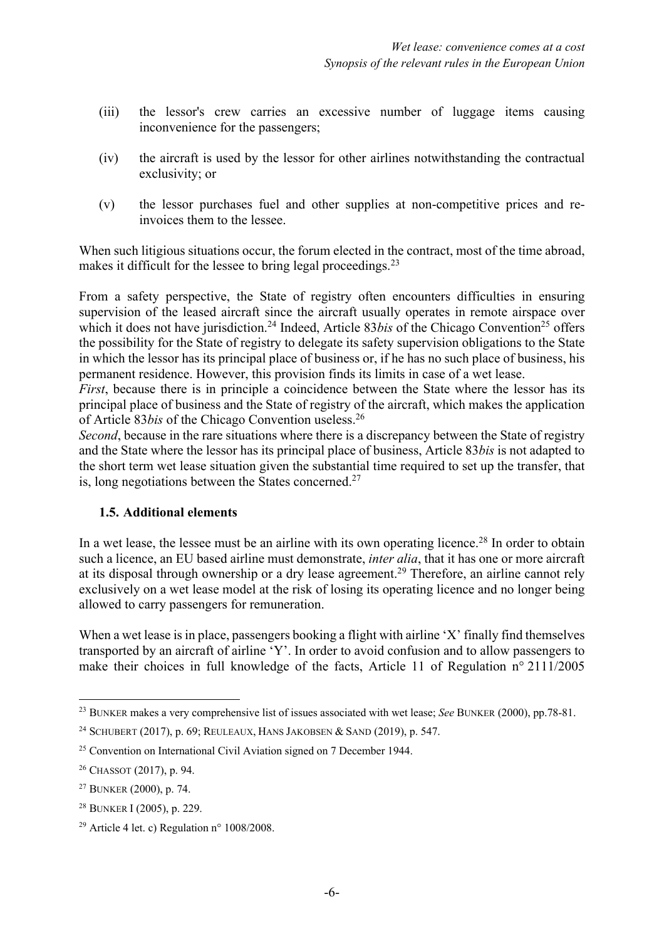- (iii) the lessor's crew carries an excessive number of luggage items causing inconvenience for the passengers;
- (iv) the aircraft is used by the lessor for other airlines notwithstanding the contractual exclusivity; or
- (v) the lessor purchases fuel and other supplies at non-competitive prices and reinvoices them to the lessee.

When such litigious situations occur, the forum elected in the contract, most of the time abroad, makes it difficult for the lessee to bring legal proceedings.<sup>23</sup>

From a safety perspective, the State of registry often encounters difficulties in ensuring supervision of the leased aircraft since the aircraft usually operates in remote airspace over which it does not have jurisdiction.<sup>24</sup> Indeed, Article 83*bis* of the Chicago Convention<sup>25</sup> offers the possibility for the State of registry to delegate its safety supervision obligations to the State in which the lessor has its principal place of business or, if he has no such place of business, his permanent residence. However, this provision finds its limits in case of a wet lease.

*First*, because there is in principle a coincidence between the State where the lessor has its principal place of business and the State of registry of the aircraft, which makes the application of Article 83*bis* of the Chicago Convention useless. 26

*Second*, because in the rare situations where there is a discrepancy between the State of registry and the State where the lessor has its principal place of business, Article 83*bis* is not adapted to the short term wet lease situation given the substantial time required to set up the transfer, that is, long negotiations between the States concerned.<sup>27</sup>

### **1.5. Additional elements**

In a wet lease, the lessee must be an airline with its own operating licence.<sup>28</sup> In order to obtain such a licence, an EU based airline must demonstrate, *inter alia*, that it has one or more aircraft at its disposal through ownership or a dry lease agreement.<sup>29</sup> Therefore, an airline cannot rely exclusively on a wet lease model at the risk of losing its operating licence and no longer being allowed to carry passengers for remuneration.

When a wet lease is in place, passengers booking a flight with airline 'X' finally find themselves transported by an aircraft of airline 'Y'. In order to avoid confusion and to allow passengers to make their choices in full knowledge of the facts, Article 11 of Regulation n° 2111/2005

<sup>23</sup> BUNKER makes a very comprehensive list of issues associated with wet lease; *See* BUNKER (2000), pp.78-81.

<sup>24</sup> SCHUBERT (2017), p. 69; REULEAUX, HANS JAKOBSEN & SAND (2019), p. 547.

<sup>&</sup>lt;sup>25</sup> Convention on International Civil Aviation signed on 7 December 1944.

<sup>26</sup> CHASSOT (2017), p. 94.

<sup>27</sup> BUNKER (2000), p. 74.

<sup>28</sup> BUNKER I (2005), p. 229.

<sup>&</sup>lt;sup>29</sup> Article 4 let. c) Regulation  $n^{\circ}$  1008/2008.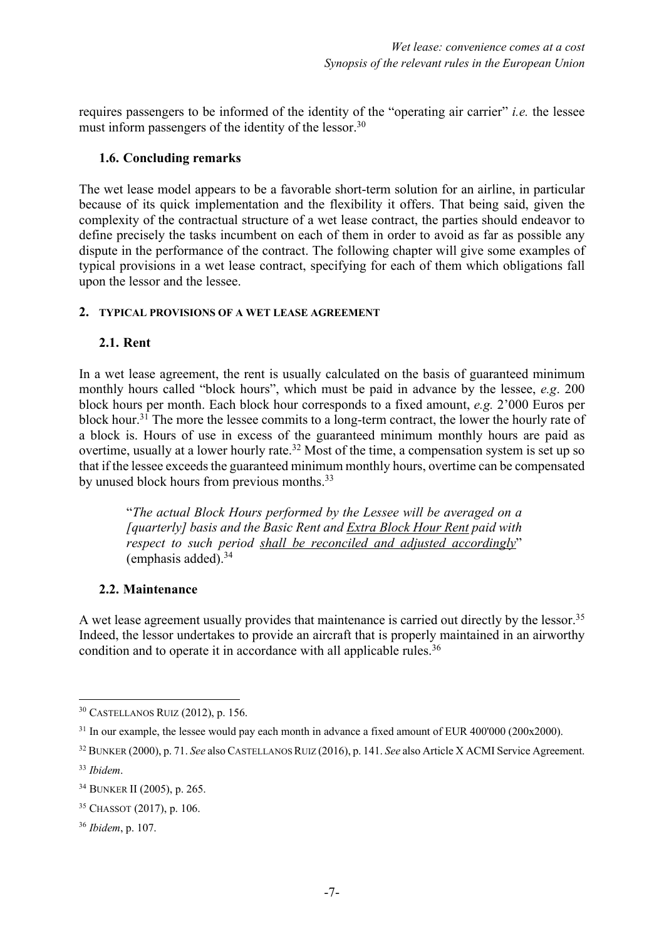requires passengers to be informed of the identity of the "operating air carrier" *i.e.* the lessee must inform passengers of the identity of the lessor.<sup>30</sup>

### **1.6. Concluding remarks**

The wet lease model appears to be a favorable short-term solution for an airline, in particular because of its quick implementation and the flexibility it offers. That being said, given the complexity of the contractual structure of a wet lease contract, the parties should endeavor to define precisely the tasks incumbent on each of them in order to avoid as far as possible any dispute in the performance of the contract. The following chapter will give some examples of typical provisions in a wet lease contract, specifying for each of them which obligations fall upon the lessor and the lessee.

#### **2. TYPICAL PROVISIONS OF A WET LEASE AGREEMENT**

#### **2.1. Rent**

In a wet lease agreement, the rent is usually calculated on the basis of guaranteed minimum monthly hours called "block hours", which must be paid in advance by the lessee, *e.g*. 200 block hours per month. Each block hour corresponds to a fixed amount, *e.g.* 2'000 Euros per block hour.<sup>31</sup> The more the lessee commits to a long-term contract, the lower the hourly rate of a block is. Hours of use in excess of the guaranteed minimum monthly hours are paid as overtime, usually at a lower hourly rate.<sup>32</sup> Most of the time, a compensation system is set up so that if the lessee exceeds the guaranteed minimum monthly hours, overtime can be compensated by unused block hours from previous months.<sup>33</sup>

"*The actual Block Hours performed by the Lessee will be averaged on a [quarterly] basis and the Basic Rent and Extra Block Hour Rent paid with respect to such period shall be reconciled and adjusted accordingly*" (emphasis added). 34

### **2.2. Maintenance**

A wet lease agreement usually provides that maintenance is carried out directly by the lessor.<sup>35</sup> Indeed, the lessor undertakes to provide an aircraft that is properly maintained in an airworthy condition and to operate it in accordance with all applicable rules.<sup>36</sup>

<sup>30</sup> CASTELLANOS RUIZ (2012), p. 156.

 $31$  In our example, the lessee would pay each month in advance a fixed amount of EUR 400'000 (200x2000).

<sup>32</sup> BUNKER (2000), p. 71. *See* also CASTELLANOS RUIZ (2016), p. 141. *See* also Article X ACMI Service Agreement.

<sup>33</sup> *Ibidem*.

<sup>34</sup> BUNKER II (2005), p. 265.

<sup>35</sup> CHASSOT (2017), p. 106.

<sup>36</sup> *Ibidem*, p. 107.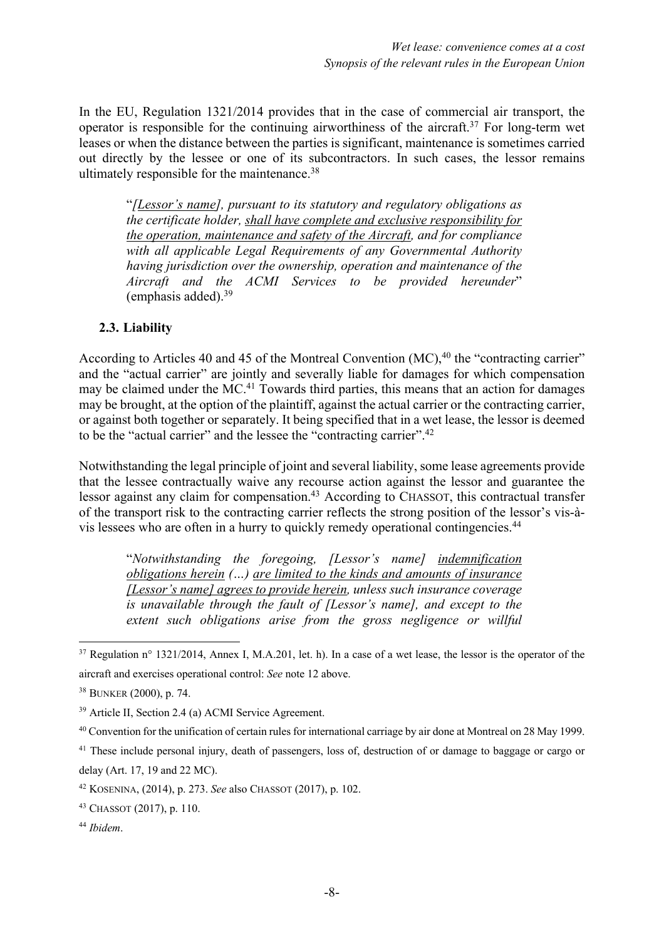In the EU, Regulation 1321/2014 provides that in the case of commercial air transport, the operator is responsible for the continuing airworthiness of the aircraft.<sup>37</sup> For long-term wet leases or when the distance between the parties is significant, maintenance is sometimes carried out directly by the lessee or one of its subcontractors. In such cases, the lessor remains ultimately responsible for the maintenance.<sup>38</sup>

"*[Lessor's name], pursuant to its statutory and regulatory obligations as the certificate holder, shall have complete and exclusive responsibility for the operation, maintenance and safety of the Aircraft, and for compliance with all applicable Legal Requirements of any Governmental Authority having jurisdiction over the ownership, operation and maintenance of the Aircraft and the ACMI Services to be provided hereunder*" (emphasis added). 39

#### **2.3. Liability**

According to Articles 40 and 45 of the Montreal Convention (MC),<sup>40</sup> the "contracting carrier" and the "actual carrier" are jointly and severally liable for damages for which compensation may be claimed under the MC.<sup>41</sup> Towards third parties, this means that an action for damages may be brought, at the option of the plaintiff, against the actual carrier or the contracting carrier, or against both together or separately. It being specified that in a wet lease, the lessor is deemed to be the "actual carrier" and the lessee the "contracting carrier".<sup>42</sup>

Notwithstanding the legal principle of joint and several liability, some lease agreements provide that the lessee contractually waive any recourse action against the lessor and guarantee the lessor against any claim for compensation.<sup>43</sup> According to CHASSOT, this contractual transfer of the transport risk to the contracting carrier reflects the strong position of the lessor's vis-àvis lessees who are often in a hurry to quickly remedy operational contingencies.44

"*Notwithstanding the foregoing, [Lessor's name] indemnification obligations herein (…) are limited to the kinds and amounts of insurance [Lessor's name] agrees to provide herein, unless such insurance coverage is unavailable through the fault of [Lessor's name], and except to the extent such obligations arise from the gross negligence or willful* 

 $37$  Regulation n° 1321/2014, Annex I, M.A.201, let. h). In a case of a wet lease, the lessor is the operator of the aircraft and exercises operational control: *See* note 12 above.

<sup>38</sup> BUNKER (2000), p. 74.

<sup>39</sup> Article II, Section 2.4 (a) ACMI Service Agreement.

<sup>40</sup> Convention for the unification of certain rules for international carriage by air done at Montreal on 28 May 1999.

<sup>&</sup>lt;sup>41</sup> These include personal injury, death of passengers, loss of, destruction of or damage to baggage or cargo or delay (Art. 17, 19 and 22 MC).

<sup>42</sup> KOSENINA, (2014), p. 273. *See* also CHASSOT (2017), p. 102.

<sup>43</sup> CHASSOT (2017), p. 110.

<sup>44</sup> *Ibidem*.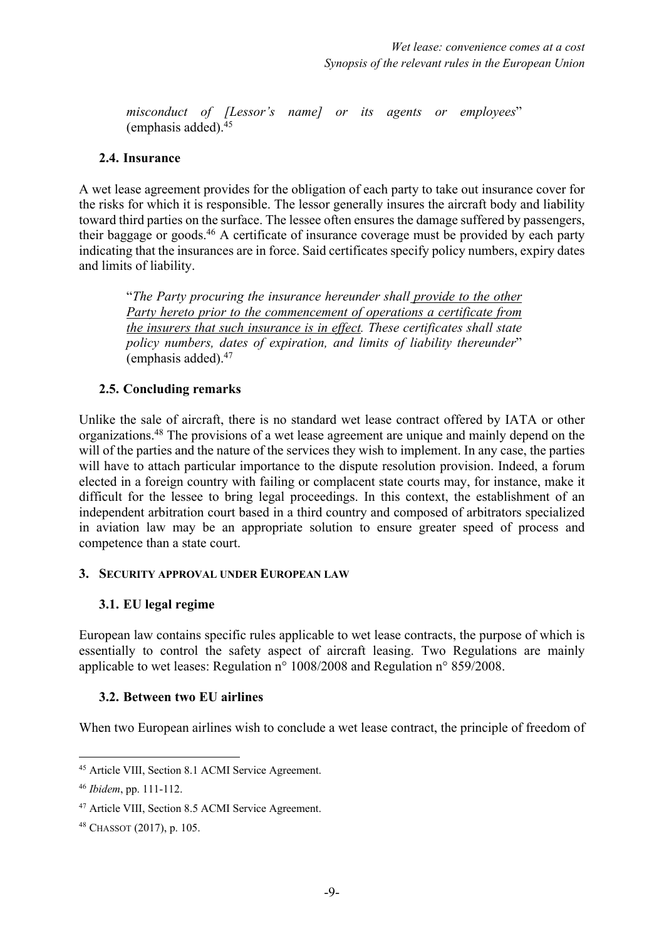*misconduct of [Lessor's name] or its agents or employees*" (emphasis added). 45

#### **2.4. Insurance**

A wet lease agreement provides for the obligation of each party to take out insurance cover for the risks for which it is responsible. The lessor generally insures the aircraft body and liability toward third parties on the surface. The lessee often ensures the damage suffered by passengers, their baggage or goods.<sup>46</sup> A certificate of insurance coverage must be provided by each party indicating that the insurances are in force. Said certificates specify policy numbers, expiry dates and limits of liability.

"*The Party procuring the insurance hereunder shall provide to the other Party hereto prior to the commencement of operations a certificate from the insurers that such insurance is in effect. These certificates shall state policy numbers, dates of expiration, and limits of liability thereunder*" (emphasis added). 47

### **2.5. Concluding remarks**

Unlike the sale of aircraft, there is no standard wet lease contract offered by IATA or other organizations.48 The provisions of a wet lease agreement are unique and mainly depend on the will of the parties and the nature of the services they wish to implement. In any case, the parties will have to attach particular importance to the dispute resolution provision. Indeed, a forum elected in a foreign country with failing or complacent state courts may, for instance, make it difficult for the lessee to bring legal proceedings. In this context, the establishment of an independent arbitration court based in a third country and composed of arbitrators specialized in aviation law may be an appropriate solution to ensure greater speed of process and competence than a state court.

#### **3. SECURITY APPROVAL UNDER EUROPEAN LAW**

### **3.1. EU legal regime**

European law contains specific rules applicable to wet lease contracts, the purpose of which is essentially to control the safety aspect of aircraft leasing. Two Regulations are mainly applicable to wet leases: Regulation n° 1008/2008 and Regulation n° 859/2008.

### **3.2. Between two EU airlines**

When two European airlines wish to conclude a wet lease contract, the principle of freedom of

<sup>45</sup> Article VIII, Section 8.1 ACMI Service Agreement.

<sup>46</sup> *Ibidem*, pp. 111-112.

<sup>47</sup> Article VIII, Section 8.5 ACMI Service Agreement.

<sup>48</sup> CHASSOT (2017), p. 105.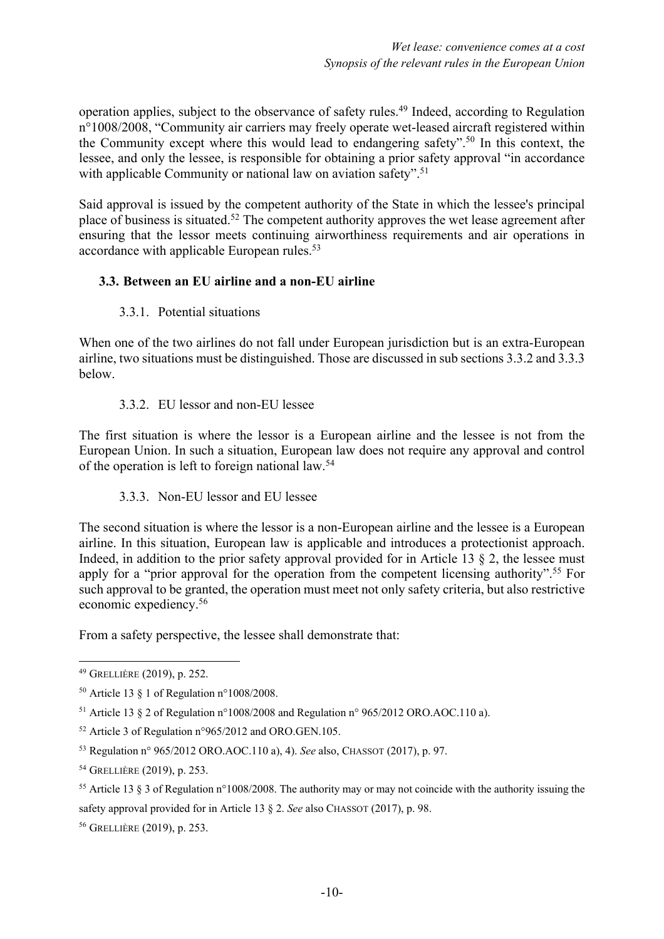operation applies, subject to the observance of safety rules. <sup>49</sup> Indeed, according to Regulation n°1008/2008, "Community air carriers may freely operate wet-leased aircraft registered within the Community except where this would lead to endangering safety". <sup>50</sup> In this context, the lessee, and only the lessee, is responsible for obtaining a prior safety approval "in accordance with applicable Community or national law on aviation safety".<sup>51</sup>

Said approval is issued by the competent authority of the State in which the lessee's principal place of business is situated.52 The competent authority approves the wet lease agreement after ensuring that the lessor meets continuing airworthiness requirements and air operations in accordance with applicable European rules.<sup>53</sup>

# **3.3. Between an EU airline and a non-EU airline**

### 3.3.1. Potential situations

When one of the two airlines do not fall under European jurisdiction but is an extra-European airline, two situations must be distinguished. Those are discussed in sub sections 3.3.2 and 3.3.3 below.

### 3.3.2. EU lessor and non-EU lessee

The first situation is where the lessor is a European airline and the lessee is not from the European Union. In such a situation, European law does not require any approval and control of the operation is left to foreign national law. 54

# 3.3.3. Non-EU lessor and EU lessee

The second situation is where the lessor is a non-European airline and the lessee is a European airline. In this situation, European law is applicable and introduces a protectionist approach. Indeed, in addition to the prior safety approval provided for in Article 13  $\S$  2, the lessee must apply for a "prior approval for the operation from the competent licensing authority".<sup>55</sup> For such approval to be granted, the operation must meet not only safety criteria, but also restrictive economic expediency. 56

From a safety perspective, the lessee shall demonstrate that:

<sup>49</sup> GRELLIÈRE (2019), p. 252.

<sup>&</sup>lt;sup>50</sup> Article 13  $\S$  1 of Regulation n°1008/2008.

<sup>51</sup> Article 13 § 2 of Regulation n°1008/2008 and Regulation n° 965/2012 ORO.AOC.110 a).

<sup>52</sup> Article 3 of Regulation n°965/2012 and ORO.GEN.105.

<sup>53</sup> Regulation n° 965/2012 ORO.AOC.110 a), 4). *See* also, CHASSOT (2017), p. 97.

<sup>54</sup> GRELLIÈRE (2019), p. 253.

<sup>&</sup>lt;sup>55</sup> Article 13 § 3 of Regulation n°1008/2008. The authority may or may not coincide with the authority issuing the safety approval provided for in Article 13 § 2. *See* also CHASSOT (2017), p. 98.

<sup>56</sup> GRELLIÈRE (2019), p. 253.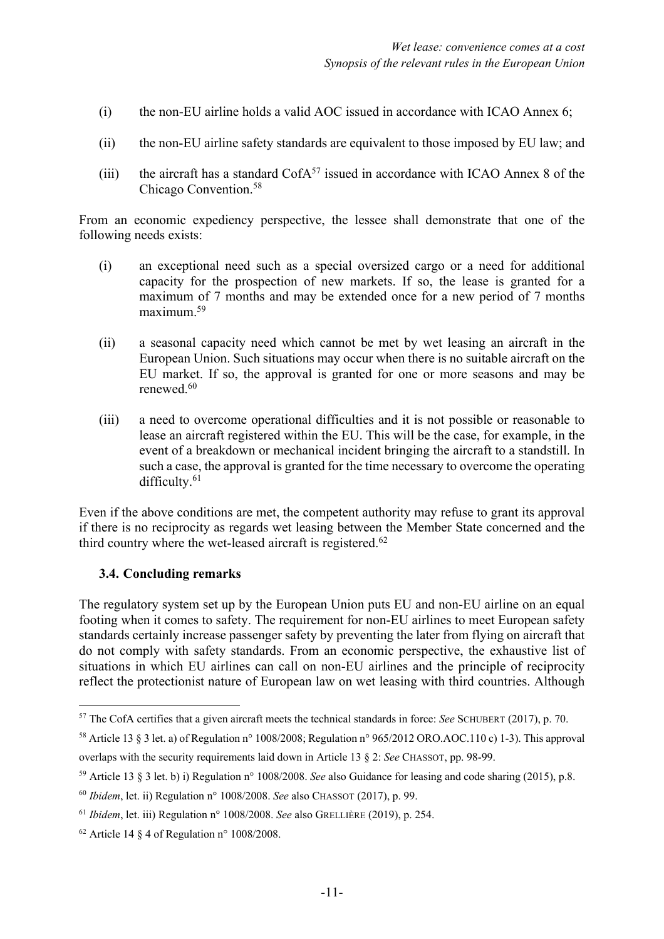- (i) the non-EU airline holds a valid AOC issued in accordance with ICAO Annex 6;
- (ii) the non-EU airline safety standards are equivalent to those imposed by EU law; and
- (iii) the aircraft has a standard  $\text{CofA}^{57}$  issued in accordance with ICAO Annex 8 of the Chicago Convention. 58

From an economic expediency perspective, the lessee shall demonstrate that one of the following needs exists:

- (i) an exceptional need such as a special oversized cargo or a need for additional capacity for the prospection of new markets. If so, the lease is granted for a maximum of 7 months and may be extended once for a new period of 7 months maximum. 59
- (ii) a seasonal capacity need which cannot be met by wet leasing an aircraft in the European Union. Such situations may occur when there is no suitable aircraft on the EU market. If so, the approval is granted for one or more seasons and may be renewed.60
- (iii) a need to overcome operational difficulties and it is not possible or reasonable to lease an aircraft registered within the EU. This will be the case, for example, in the event of a breakdown or mechanical incident bringing the aircraft to a standstill. In such a case, the approval is granted for the time necessary to overcome the operating difficulty.<sup>61</sup>

Even if the above conditions are met, the competent authority may refuse to grant its approval if there is no reciprocity as regards wet leasing between the Member State concerned and the third country where the wet-leased aircraft is registered.<sup>62</sup>

### **3.4. Concluding remarks**

The regulatory system set up by the European Union puts EU and non-EU airline on an equal footing when it comes to safety. The requirement for non-EU airlines to meet European safety standards certainly increase passenger safety by preventing the later from flying on aircraft that do not comply with safety standards. From an economic perspective, the exhaustive list of situations in which EU airlines can call on non-EU airlines and the principle of reciprocity reflect the protectionist nature of European law on wet leasing with third countries. Although

<sup>57</sup> The CofA certifies that a given aircraft meets the technical standards in force: *See* SCHUBERT (2017), p. 70.

<sup>58</sup> Article 13 § 3 let. a) of Regulation n° 1008/2008; Regulation n° 965/2012 ORO.AOC.110 c) 1-3). This approval overlaps with the security requirements laid down in Article 13 § 2: *See* CHASSOT, pp. 98-99.

<sup>59</sup> Article 13 § 3 let. b) i) Regulation n° 1008/2008. *See* also Guidance for leasing and code sharing (2015), p.8.

<sup>60</sup> *Ibidem*, let. ii) Regulation n° 1008/2008. *See* also CHASSOT (2017), p. 99.

<sup>61</sup> *Ibidem*, let. iii) Regulation n° 1008/2008. *See* also GRELLIÈRE (2019), p. 254.

 $62$  Article 14 § 4 of Regulation n° 1008/2008.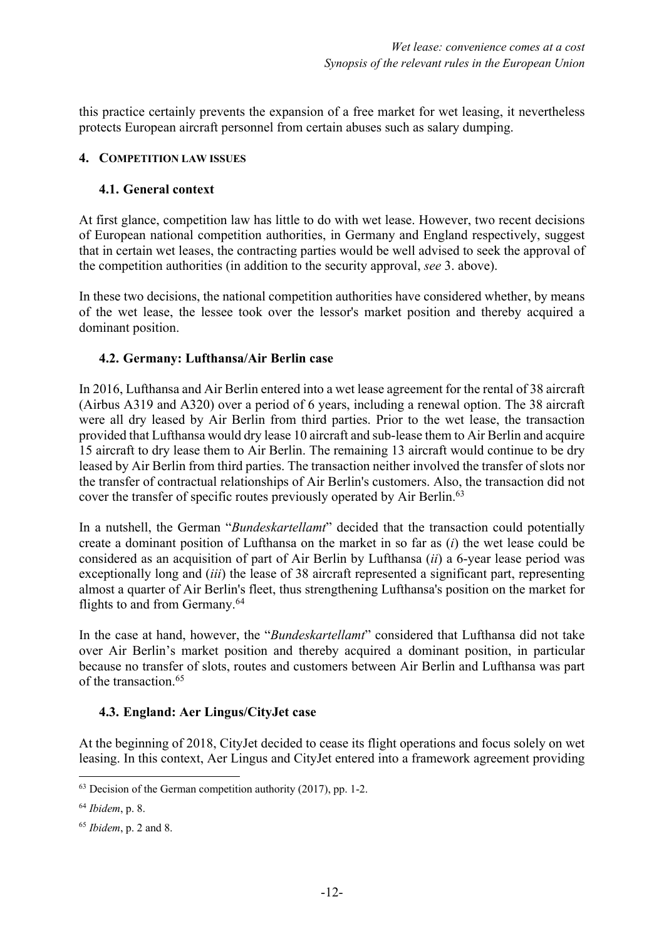this practice certainly prevents the expansion of a free market for wet leasing, it nevertheless protects European aircraft personnel from certain abuses such as salary dumping.

#### **4. COMPETITION LAW ISSUES**

#### **4.1. General context**

At first glance, competition law has little to do with wet lease. However, two recent decisions of European national competition authorities, in Germany and England respectively, suggest that in certain wet leases, the contracting parties would be well advised to seek the approval of the competition authorities (in addition to the security approval, *see* 3. above).

In these two decisions, the national competition authorities have considered whether, by means of the wet lease, the lessee took over the lessor's market position and thereby acquired a dominant position.

### **4.2. Germany: Lufthansa/Air Berlin case**

In 2016, Lufthansa and Air Berlin entered into a wet lease agreement for the rental of 38 aircraft (Airbus A319 and A320) over a period of 6 years, including a renewal option. The 38 aircraft were all dry leased by Air Berlin from third parties. Prior to the wet lease, the transaction provided that Lufthansa would dry lease 10 aircraft and sub-lease them to Air Berlin and acquire 15 aircraft to dry lease them to Air Berlin. The remaining 13 aircraft would continue to be dry leased by Air Berlin from third parties. The transaction neither involved the transfer of slots nor the transfer of contractual relationships of Air Berlin's customers. Also, the transaction did not cover the transfer of specific routes previously operated by Air Berlin.<sup>63</sup>

In a nutshell, the German "*Bundeskartellamt*" decided that the transaction could potentially create a dominant position of Lufthansa on the market in so far as (*i*) the wet lease could be considered as an acquisition of part of Air Berlin by Lufthansa (*ii*) a 6-year lease period was exceptionally long and (*iii*) the lease of 38 aircraft represented a significant part, representing almost a quarter of Air Berlin's fleet, thus strengthening Lufthansa's position on the market for flights to and from Germany. 64

In the case at hand, however, the "*Bundeskartellamt*" considered that Lufthansa did not take over Air Berlin's market position and thereby acquired a dominant position, in particular because no transfer of slots, routes and customers between Air Berlin and Lufthansa was part of the transaction <sup>65</sup>

### **4.3. England: Aer Lingus/CityJet case**

At the beginning of 2018, CityJet decided to cease its flight operations and focus solely on wet leasing. In this context, Aer Lingus and CityJet entered into a framework agreement providing

 $63$  Decision of the German competition authority (2017), pp. 1-2.

<sup>64</sup> *Ibidem*, p. 8.

<sup>65</sup> *Ibidem*, p. 2 and 8.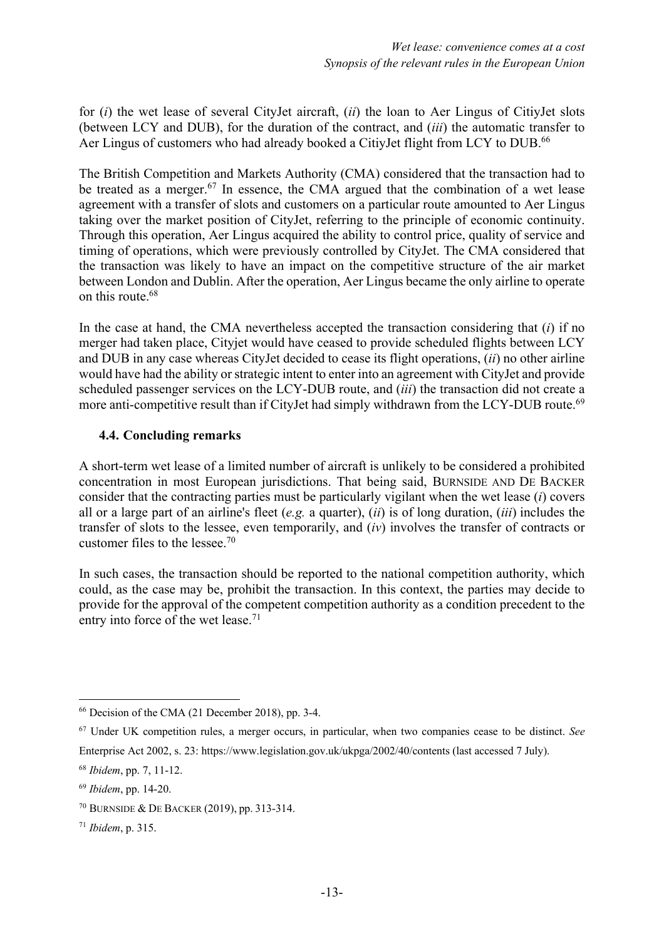for (*i*) the wet lease of several CityJet aircraft, (*ii*) the loan to Aer Lingus of CitiyJet slots (between LCY and DUB), for the duration of the contract, and (*iii*) the automatic transfer to Aer Lingus of customers who had already booked a CitiyJet flight from LCY to DUB.<sup>66</sup>

The British Competition and Markets Authority (CMA) considered that the transaction had to be treated as a merger.<sup>67</sup> In essence, the CMA argued that the combination of a wet lease agreement with a transfer of slots and customers on a particular route amounted to Aer Lingus taking over the market position of CityJet, referring to the principle of economic continuity. Through this operation, Aer Lingus acquired the ability to control price, quality of service and timing of operations, which were previously controlled by CityJet. The CMA considered that the transaction was likely to have an impact on the competitive structure of the air market between London and Dublin. After the operation, Aer Lingus became the only airline to operate on this route. 68

In the case at hand, the CMA nevertheless accepted the transaction considering that (*i*) if no merger had taken place, Cityjet would have ceased to provide scheduled flights between LCY and DUB in any case whereas CityJet decided to cease its flight operations, (*ii*) no other airline would have had the ability or strategic intent to enter into an agreement with CityJet and provide scheduled passenger services on the LCY-DUB route, and (*iii*) the transaction did not create a more anti-competitive result than if CityJet had simply withdrawn from the LCY-DUB route.<sup>69</sup>

### **4.4. Concluding remarks**

A short-term wet lease of a limited number of aircraft is unlikely to be considered a prohibited concentration in most European jurisdictions. That being said, BURNSIDE AND DE BACKER consider that the contracting parties must be particularly vigilant when the wet lease (*i*) covers all or a large part of an airline's fleet (*e.g.* a quarter), (*ii*) is of long duration, (*iii*) includes the transfer of slots to the lessee, even temporarily, and (*iv*) involves the transfer of contracts or customer files to the lessee. 70

In such cases, the transaction should be reported to the national competition authority, which could, as the case may be, prohibit the transaction. In this context, the parties may decide to provide for the approval of the competent competition authority as a condition precedent to the entry into force of the wet lease.<sup>71</sup>

<sup>66</sup> Decision of the CMA (21 December 2018), pp. 3-4.

<sup>67</sup> Under UK competition rules, a merger occurs, in particular, when two companies cease to be distinct. *See* Enterprise Act 2002, s. 23: https://www.legislation.gov.uk/ukpga/2002/40/contents (last accessed 7 July).

<sup>68</sup> *Ibidem*, pp. 7, 11-12.

<sup>69</sup> *Ibidem*, pp. 14-20.

<sup>70</sup> BURNSIDE & DE BACKER (2019), pp. 313-314.

<sup>71</sup> *Ibidem*, p. 315.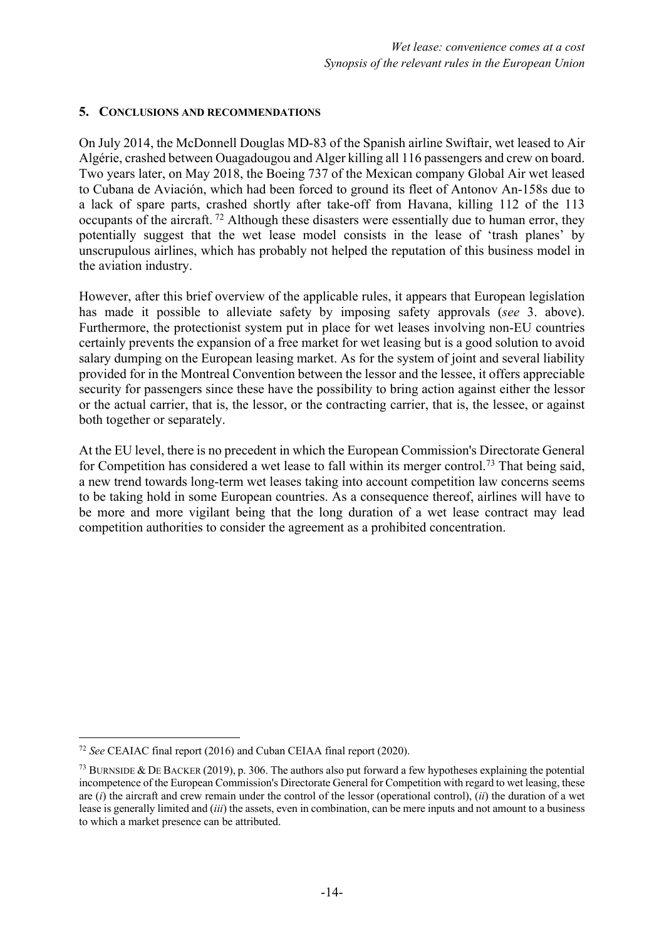#### **5. CONCLUSIONS AND RECOMMENDATIONS**

On July 2014, the McDonnell Douglas MD-83 of the Spanish airline Swiftair, wet leased to Air Algérie, crashed between Ouagadougou and Alger killing all 116 passengers and crew on board. Two years later, on May 2018, the Boeing 737 of the Mexican company Global Air wet leased to Cubana de Aviación, which had been forced to ground its fleet of Antonov An-158s due to a lack of spare parts, crashed shortly after take-off from Havana, killing 112 of the 113 occupants of the aircraft. <sup>72</sup> Although these disasters were essentially due to human error, they potentially suggest that the wet lease model consists in the lease of 'trash planes' by unscrupulous airlines, which has probably not helped the reputation of this business model in the aviation industry.

However, after this brief overview of the applicable rules, it appears that European legislation has made it possible to alleviate safety by imposing safety approvals (*see* 3. above). Furthermore, the protectionist system put in place for wet leases involving non-EU countries certainly prevents the expansion of a free market for wet leasing but is a good solution to avoid salary dumping on the European leasing market. As for the system of joint and several liability provided for in the Montreal Convention between the lessor and the lessee, it offers appreciable security for passengers since these have the possibility to bring action against either the lessor or the actual carrier, that is, the lessor, or the contracting carrier, that is, the lessee, or against both together or separately.

At the EU level, there is no precedent in which the European Commission's Directorate General for Competition has considered a wet lease to fall within its merger control.<sup>73</sup> That being said, a new trend towards long-term wet leases taking into account competition law concerns seems to be taking hold in some European countries. As a consequence thereof, airlines will have to be more and more vigilant being that the long duration of a wet lease contract may lead competition authorities to consider the agreement as a prohibited concentration.

<sup>72</sup> *See* CEAIAC final report (2016) and Cuban CEIAA final report (2020).

<sup>73</sup> BURNSIDE & DE BACKER (2019), p. 306. The authors also put forward a few hypotheses explaining the potential incompetence of the European Commission's Directorate General for Competition with regard to wet leasing, these are (*i*) the aircraft and crew remain under the control of the lessor (operational control), (*ii*) the duration of a wet lease is generally limited and (*iii*) the assets, even in combination, can be mere inputs and not amount to a business to which a market presence can be attributed.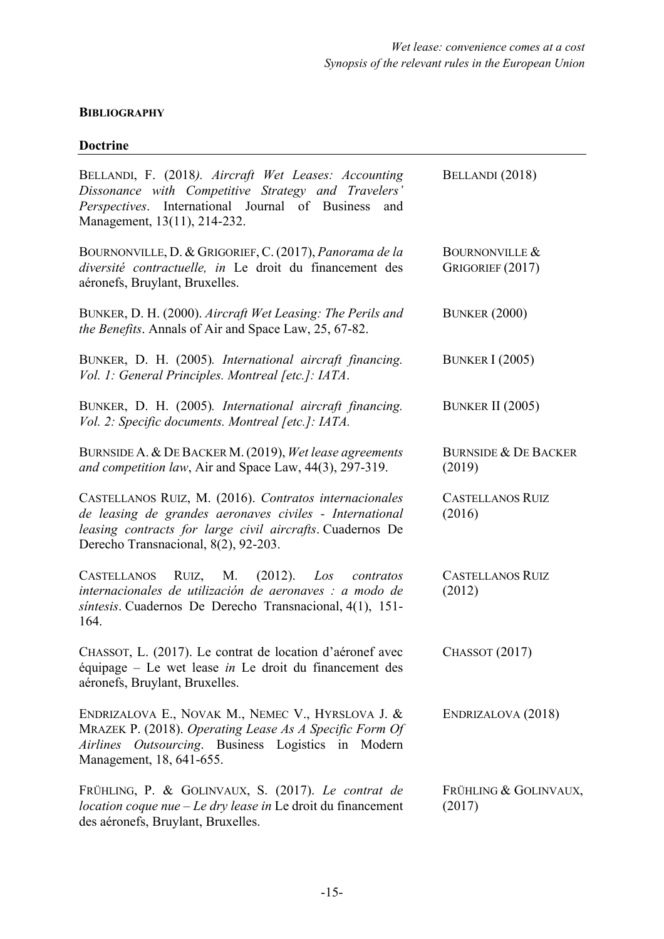# **BIBLIOGRAPHY**

# **Doctrine**

| BELLANDI, F. (2018). Aircraft Wet Leases: Accounting<br>Dissonance with Competitive Strategy and Travelers'<br>Perspectives. International Journal of Business and<br>Management, 13(11), 214-232.                     | BELLANDI (2018)                               |
|------------------------------------------------------------------------------------------------------------------------------------------------------------------------------------------------------------------------|-----------------------------------------------|
| BOURNONVILLE, D. & GRIGORIEF, C. (2017), Panorama de la<br>diversité contractuelle, in Le droit du financement des<br>aéronefs, Bruylant, Bruxelles.                                                                   | <b>BOURNONVILLE &amp;</b><br>GRIGORIEF (2017) |
| BUNKER, D. H. (2000). Aircraft Wet Leasing: The Perils and<br>the Benefits. Annals of Air and Space Law, 25, 67-82.                                                                                                    | <b>BUNKER (2000)</b>                          |
| BUNKER, D. H. (2005). International aircraft financing.<br>Vol. 1: General Principles. Montreal [etc.]: IATA.                                                                                                          | <b>BUNKER I (2005)</b>                        |
| BUNKER, D. H. (2005). International aircraft financing.<br>Vol. 2: Specific documents. Montreal [etc.]: IATA.                                                                                                          | <b>BUNKER II (2005)</b>                       |
| BURNSIDE A. & DE BACKER M. (2019), Wet lease agreements<br>and competition law, Air and Space Law, 44(3), 297-319.                                                                                                     | <b>BURNSIDE &amp; DE BACKER</b><br>(2019)     |
| CASTELLANOS RUIZ, M. (2016). Contratos internacionales<br>de leasing de grandes aeronaves civiles - International<br>leasing contracts for large civil aircrafts. Cuadernos De<br>Derecho Transnacional, 8(2), 92-203. | <b>CASTELLANOS RUIZ</b><br>(2016)             |
| RUIZ,<br>M.<br>(2012).<br>Los<br><b>CASTELLANOS</b><br>contratos<br>internacionales de utilización de aeronaves : a modo de<br>síntesis. Cuadernos De Derecho Transnacional, 4(1), 151-<br>164.                        | <b>CASTELLANOS RUIZ</b><br>(2012)             |
| CHASSOT, L. (2017). Le contrat de location d'aéronef avec<br>équipage – Le wet lease in Le droit du financement des<br>aéronefs, Bruylant, Bruxelles.                                                                  | <b>CHASSOT</b> (2017)                         |
| ENDRIZALOVA E., NOVAK M., NEMEC V., HYRSLOVA J. &<br>MRAZEK P. (2018). Operating Lease As A Specific Form Of<br><i>Outsourcing</i> . Business Logistics in Modern<br>Airlines<br>Management, 18, 641-655.              | ENDRIZALOVA (2018)                            |
| FRÜHLING, P. & GOLINVAUX, S. (2017). Le contrat de<br><i>location coque nue <math>-E</math>e dry lease in</i> Le droit du financement<br>des aéronefs, Bruylant, Bruxelles.                                            | FRÜHLING & GOLINVAUX,<br>(2017)               |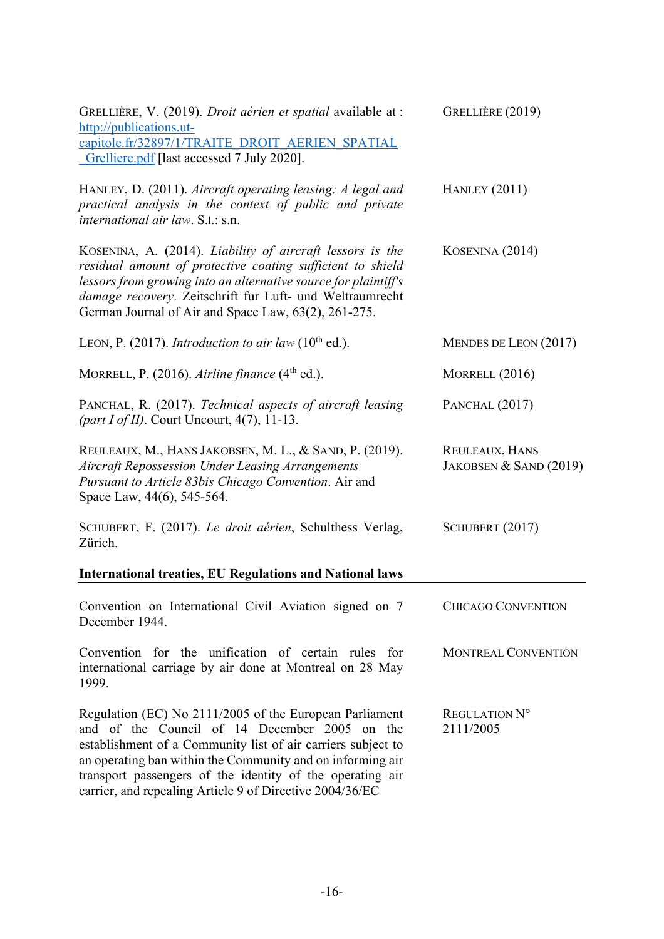| GRELLIÈRE, V. (2019). Droit aérien et spatial available at :<br>http://publications.ut-<br>capitole.fr/32897/1/TRAITE DROIT AERIEN SPATIAL<br>Grelliere.pdf [last accessed 7 July 2020].                                                                                                                                                                        | GRELLIÈRE (2019)                         |  |  |
|-----------------------------------------------------------------------------------------------------------------------------------------------------------------------------------------------------------------------------------------------------------------------------------------------------------------------------------------------------------------|------------------------------------------|--|--|
| HANLEY, D. (2011). Aircraft operating leasing: A legal and<br>practical analysis in the context of public and private<br><i>international air law.</i> S.l.: s.n.                                                                                                                                                                                               | <b>HANLEY</b> (2011)                     |  |  |
| KOSENINA, A. (2014). Liability of aircraft lessors is the<br>residual amount of protective coating sufficient to shield<br>lessors from growing into an alternative source for plaintiff's<br>damage recovery. Zeitschrift fur Luft- und Weltraumrecht<br>German Journal of Air and Space Law, 63(2), 261-275.                                                  | KOSENINA (2014)                          |  |  |
| LEON, P. (2017). Introduction to air law (10 <sup>th</sup> ed.).                                                                                                                                                                                                                                                                                                | MENDES DE LEON $(2017)$                  |  |  |
| MORRELL, P. $(2016)$ . Airline finance $(4th$ ed.).                                                                                                                                                                                                                                                                                                             | MORRELL (2016)                           |  |  |
| PANCHAL, R. (2017). Technical aspects of aircraft leasing<br>(part I of II). Court Uncourt, $4(7)$ , 11-13.                                                                                                                                                                                                                                                     | PANCHAL (2017)                           |  |  |
| REULEAUX, M., HANS JAKOBSEN, M. L., & SAND, P. (2019).<br><b>Aircraft Repossession Under Leasing Arrangements</b><br>Pursuant to Article 83bis Chicago Convention. Air and<br>Space Law, 44(6), 545-564.                                                                                                                                                        | REULEAUX, HANS<br>JAKOBSEN & SAND (2019) |  |  |
| SCHUBERT, F. (2017). Le droit aérien, Schulthess Verlag,<br>Zürich.                                                                                                                                                                                                                                                                                             | SCHUBERT (2017)                          |  |  |
| <b>International treaties, EU Regulations and National laws</b>                                                                                                                                                                                                                                                                                                 |                                          |  |  |
| Convention on International Civil Aviation signed on 7<br>December 1944.                                                                                                                                                                                                                                                                                        | <b>CHICAGO CONVENTION</b>                |  |  |
| Convention for the unification of certain rules for<br>international carriage by air done at Montreal on 28 May<br>1999.                                                                                                                                                                                                                                        | <b>MONTREAL CONVENTION</b>               |  |  |
| Regulation (EC) No 2111/2005 of the European Parliament<br>and of the Council of 14 December 2005 on the<br>establishment of a Community list of air carriers subject to<br>an operating ban within the Community and on informing air<br>transport passengers of the identity of the operating air<br>carrier, and repealing Article 9 of Directive 2004/36/EC | REGULATION N°<br>2111/2005               |  |  |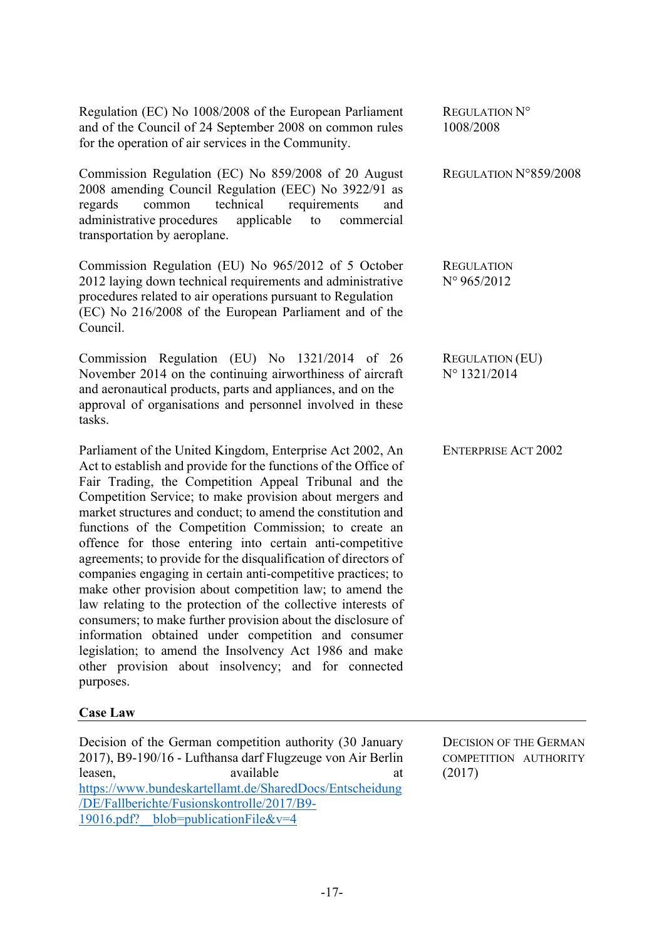Regulation (EC) No 1008/2008 of the European Parliament and of the Council of 24 September 2008 on common rules for the operation of air services in the Community.

Commission Regulation (EC) No 859/2008 of 20 August 2008 amending Council Regulation (EEC) No 3922/91 as regards common technical requirements and administrative procedures applicable to commercial transportation by aeroplane.

Commission Regulation (EU) No 965/2012 of 5 October 2012 laying down technical requirements and administrative procedures related to air operations pursuant to Regulation (EC) No 216/2008 of the European Parliament and of the Council.

Commission Regulation (EU) No 1321/2014 of 26 November 2014 on the continuing airworthiness of aircraft and aeronautical products, parts and appliances, and on the approval of organisations and personnel involved in these tasks.

Parliament of the United Kingdom, Enterprise Act 2002, An Act to establish and provide for the functions of the Office of Fair Trading, the Competition Appeal Tribunal and the Competition Service; to make provision about mergers and market structures and conduct; to amend the constitution and functions of the Competition Commission; to create an offence for those entering into certain anti-competitive agreements; to provide for the disqualification of directors of companies engaging in certain anti-competitive practices; to make other provision about competition law; to amend the law relating to the protection of the collective interests of consumers; to make further provision about the disclosure of information obtained under competition and consumer legislation; to amend the Insolvency Act 1986 and make other provision about insolvency; and for connected purposes.

#### **Case Law**

Decision of the German competition authority (30 January 2017), B9-190/16 - Lufthansa darf Flugzeuge von Air Berlin leasen, available available at a https://www.bundeskartellamt.de/SharedDocs/Entscheidung /DE/Fallberichte/Fusionskontrolle/2017/B9- 19016.pdf? blob=publicationFile&v=4

REGULATION N° 1008/2008

REGULATION N°859/2008

**REGULATION** N° 965/2012

REGULATION (EU) N° 1321/2014

ENTERPRISE ACT 2002

DECISION OF THE GERMAN COMPETITION AUTHORITY (2017)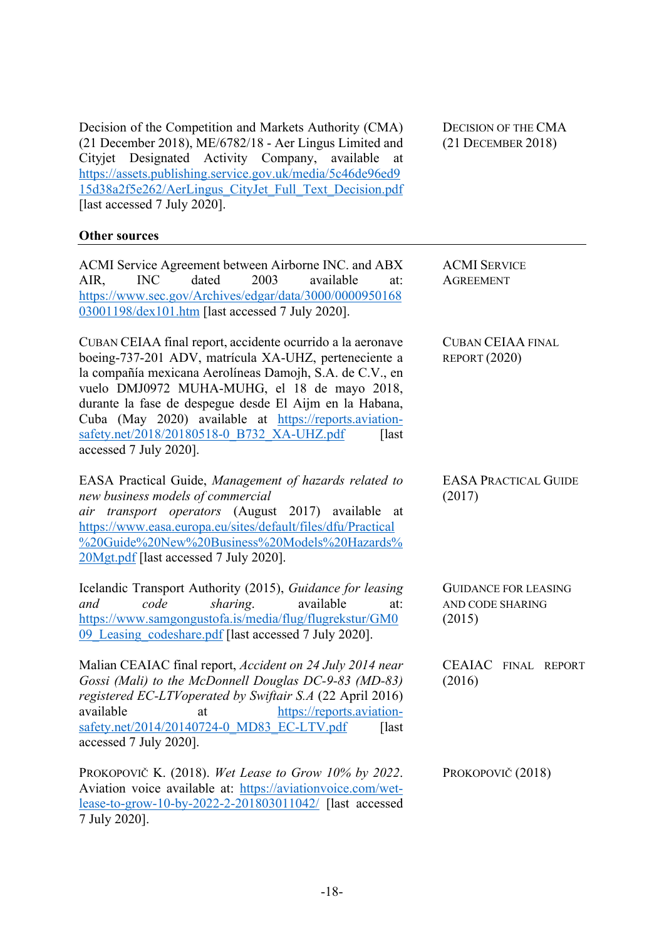Decision of the Competition and Markets Authority (CMA) (21 December 2018), ME/6782/18 - Aer Lingus Limited and Cityjet Designated Activity Company, available at https://assets.publishing.service.gov.uk/media/5c46de96ed9 15d38a2f5e262/AerLingus\_CityJet\_Full\_Text\_Decision.pdf [last accessed 7 July 2020].

#### **Other sources**

ACMI Service Agreement between Airborne INC. and ABX AIR, INC dated 2003 available at: https://www.sec.gov/Archives/edgar/data/3000/0000950168 03001198/dex101.htm [last accessed 7 July 2020].

CUBAN CEIAA final report, accidente ocurrido a la aeronave boeing-737-201 ADV, matrícula XA-UHZ, perteneciente a la compañía mexicana Aerolíneas Damojh, S.A. de C.V., en vuelo DMJ0972 MUHA-MUHG, el 18 de mayo 2018, durante la fase de despegue desde El Aijm en la Habana, Cuba (May 2020) available at https://reports.aviationsafety.net/2018/20180518-0\_B732\_XA-UHZ.pdf [last accessed 7 July 2020].

EASA Practical Guide, *Management of hazards related to new business models of commercial air transport operators* (August 2017) available at https://www.easa.europa.eu/sites/default/files/dfu/Practical %20Guide%20New%20Business%20Models%20Hazards% 20Mgt.pdf [last accessed 7 July 2020].

Icelandic Transport Authority (2015), *Guidance for leasing and code sharing*. available at: https://www.samgongustofa.is/media/flug/flugrekstur/GM0 09\_Leasing\_codeshare.pdf [last accessed 7 July 2020].

Malian CEAIAC final report, *Accident on 24 July 2014 near Gossi (Mali) to the McDonnell Douglas DC-9-83 (MD-83) registered EC-LTVoperated by Swiftair S.A* (22 April 2016) available at https://reports.aviationsafety.net/2014/20140724-0 MD83 EC-LTV.pdf  $\qquad$  [last accessed 7 July 2020].

PROKOPOVIČ K. (2018). *Wet Lease to Grow 10% by 2022*. Aviation voice available at: https://aviationvoice.com/wetlease-to-grow-10-by-2022-2-201803011042/ [last accessed 7 July 2020].

DECISION OF THE CMA (21 DECEMBER 2018)

ACMI SERVICE AGREEMENT

CUBAN CEIAA FINAL REPORT (2020)

EASA PRACTICAL GUIDE (2017)

GUIDANCE FOR LEASING AND CODE SHARING (2015)

CEAIAC FINAL REPORT (2016)

PROKOPOVIČ (2018)